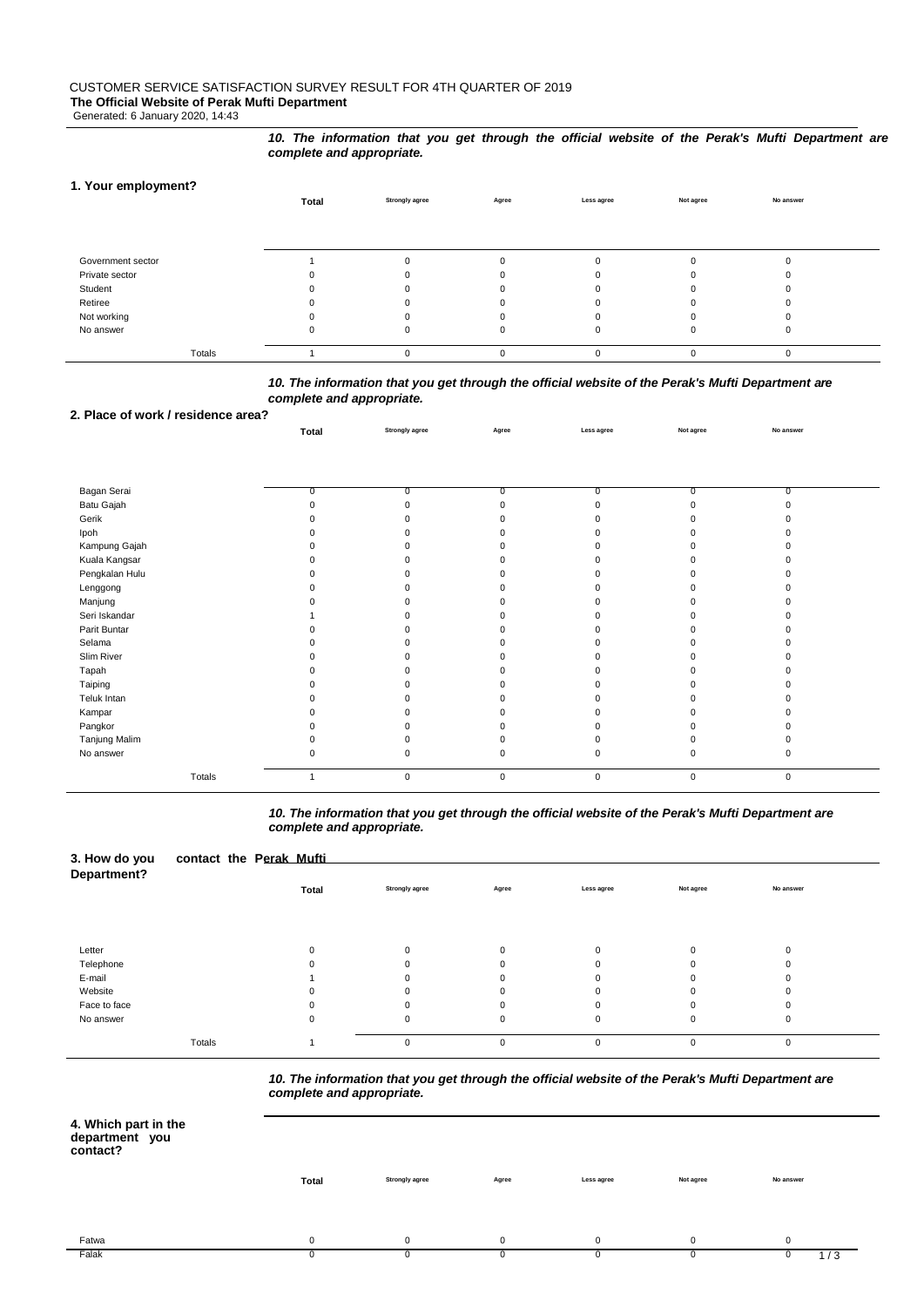Generated: 6 January 2020, 14:43

#### *10. The information that you get through the official website of the Perak's Mufti Department are complete and appropriate.*

# **1. Your employment?**

|                   | Total | <b>Strongly agree</b> | Agree    | Less agree  | Not agree | No answer |  |
|-------------------|-------|-----------------------|----------|-------------|-----------|-----------|--|
|                   |       |                       |          |             |           |           |  |
|                   |       |                       |          |             |           |           |  |
|                   |       |                       |          |             |           |           |  |
| Government sector |       |                       | $\Omega$ | O           |           |           |  |
| Private sector    |       |                       |          |             |           |           |  |
| Student           |       |                       |          |             |           |           |  |
| Retiree           |       |                       |          |             |           |           |  |
| Not working       |       |                       | 0        |             |           |           |  |
| No answer         |       |                       |          | 0           |           |           |  |
|                   |       |                       |          |             |           |           |  |
| Totals            |       |                       | $\Omega$ | $\mathbf 0$ |           |           |  |

# *10. The information that you get through the official website of the Perak's Mufti Department are complete and appropriate.*

### **2. Place of work / residence area?**

|                | Total    | <b>Strongly agree</b> | Agree       | Less agree  | Not agree      | No answer      |  |
|----------------|----------|-----------------------|-------------|-------------|----------------|----------------|--|
|                |          |                       |             |             |                |                |  |
|                |          |                       |             |             |                |                |  |
| Bagan Serai    | 0        | $\overline{0}$        | 0           | 0           | $\overline{0}$ | $\overline{0}$ |  |
| Batu Gajah     | $\Omega$ | 0                     | $\Omega$    |             | $\Omega$       |                |  |
| Gerik          |          | $\Omega$              |             |             |                |                |  |
| Ipoh           |          | $\Omega$              |             |             |                |                |  |
| Kampung Gajah  |          | 0                     |             |             |                |                |  |
| Kuala Kangsar  |          | 0                     |             |             |                |                |  |
| Pengkalan Hulu |          | ŋ                     |             |             |                |                |  |
| Lenggong       |          | $\Omega$              |             |             |                |                |  |
| Manjung        |          | 0                     |             |             |                |                |  |
| Seri Iskandar  |          | ŋ                     |             |             |                |                |  |
| Parit Buntar   |          | $\Omega$              |             |             |                |                |  |
| Selama         |          | O.                    |             |             |                |                |  |
| Slim River     |          | ŋ                     |             |             |                |                |  |
| Tapah          |          | $\Omega$              |             |             | <sup>0</sup>   |                |  |
| Taiping        |          | 0                     |             |             |                |                |  |
| Teluk Intan    |          | 0                     |             |             |                |                |  |
| Kampar         |          | 0                     |             |             |                |                |  |
| Pangkor        |          | ŋ                     |             |             |                |                |  |
| Tanjung Malim  |          | 0                     | 0           |             | $\Omega$       |                |  |
| No answer      | $\Omega$ | 0                     | 0           | $\Omega$    | 0              |                |  |
| Totals         |          | $\mathbf 0$           | $\mathbf 0$ | $\mathbf 0$ | $\mathbf{0}$   | $\mathbf 0$    |  |

### *10. The information that you get through the official website of the Perak's Mufti Department are complete and appropriate.*

| 3. How do you<br>Department? | contact the Perak Mufti |              |                       |          |             |           |           |  |
|------------------------------|-------------------------|--------------|-----------------------|----------|-------------|-----------|-----------|--|
|                              |                         | <b>Total</b> | <b>Strongly agree</b> | Agree    | Less agree  | Not agree | No answer |  |
|                              |                         |              |                       |          |             |           |           |  |
| Letter                       |                         |              | $\Omega$              | $\Omega$ | $\Omega$    | $\Omega$  |           |  |
| Telephone                    |                         |              | $\Omega$              | 0        | $\Omega$    | 0         | U         |  |
| E-mail                       |                         |              | ŋ                     | U        | O           | $\Omega$  |           |  |
| Website                      |                         |              | 0                     | $\Omega$ | $\Omega$    | 0         |           |  |
| Face to face                 |                         |              | $\Omega$              | $\Omega$ | $\Omega$    | $\Omega$  |           |  |
| No answer                    |                         | $\mathbf 0$  | $\mathbf 0$           | 0        | $\mathbf 0$ | 0         | 0         |  |
|                              | Totals                  |              | $\Omega$              | $\Omega$ | $\Omega$    | $\Omega$  | $\Omega$  |  |

*10. The information that you get through the official website of the Perak's Mufti Department are complete and appropriate.*

| 4. Which part in the |  |
|----------------------|--|
| department you       |  |
| contact?             |  |

 $\overline{\phantom{0}}$ 

| :ontact? |              |                       |          |             |           |             |
|----------|--------------|-----------------------|----------|-------------|-----------|-------------|
|          | <b>Total</b> | <b>Strongly agree</b> | Agree    | Less agree  | Not agree | No answer   |
|          |              |                       |          |             |           |             |
| Fatwa    | $\mathbf{0}$ | 0                     | $\Omega$ | $\mathbf 0$ | $\Omega$  | $\mathbf 0$ |
| Falak    |              | 0                     |          |             |           | 1/3         |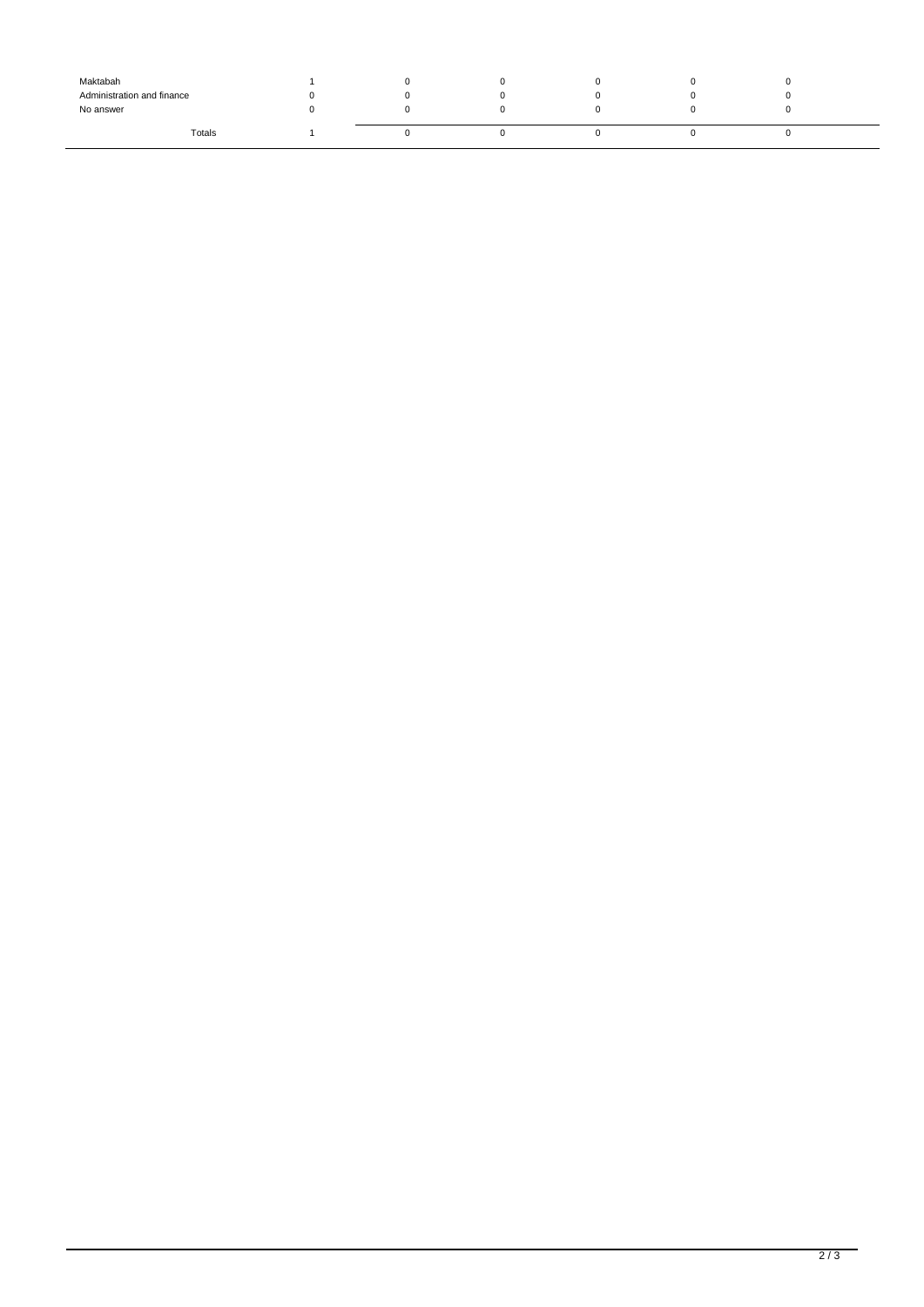| Maktabah                   |  |  |    |  |
|----------------------------|--|--|----|--|
| Administration and finance |  |  |    |  |
| No answer                  |  |  |    |  |
| Totals                     |  |  | ι. |  |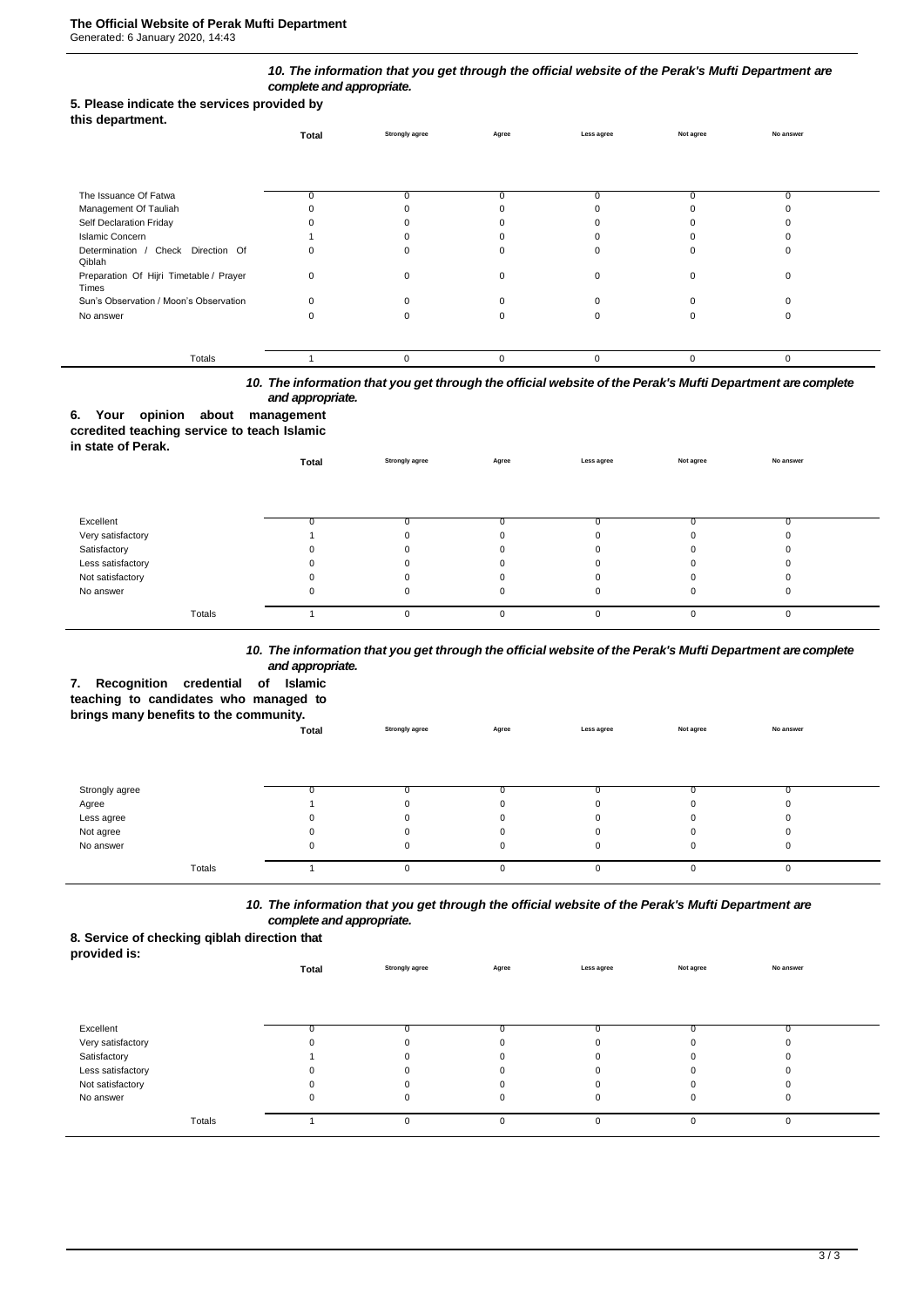### *10. The information that you get through the official website of the Perak's Mufti Department are complete and appropriate.*

### **5. Please indicate the services provided by**

|  | this department. |
|--|------------------|
|--|------------------|

|                                                  | Total | <b>Strongly agree</b> | Agree | Less agree | Not agree | No answer |  |
|--------------------------------------------------|-------|-----------------------|-------|------------|-----------|-----------|--|
|                                                  |       |                       |       |            |           |           |  |
| The Issuance Of Fatwa                            | 0     |                       |       |            |           | 0         |  |
| Management Of Tauliah                            |       |                       |       |            |           |           |  |
| Self Declaration Friday                          |       |                       |       |            |           |           |  |
| <b>Islamic Concern</b>                           |       |                       |       |            |           |           |  |
| Determination / Check Direction Of<br>Qiblah     |       |                       |       |            |           |           |  |
| Preparation Of Hijri Timetable / Prayer<br>Times | 0     |                       |       |            |           |           |  |
| Sun's Observation / Moon's Observation           | ŋ     |                       |       |            |           |           |  |
| No answer                                        |       |                       |       |            |           |           |  |
|                                                  |       |                       |       |            |           |           |  |
| Totals                                           |       | $\Omega$              |       | $\Omega$   | $\Omega$  | $\Omega$  |  |

# *10. The information that you get through the official website of the Perak's Mufti Department are complete and appropriate.*

# **6. Your opinion about management**

# **ccredited teaching service to teach Islamic**

| in state of Perak. | Total    | <b>Strongly agree</b> | Agree    | Less agree | Not agree | No answer |  |
|--------------------|----------|-----------------------|----------|------------|-----------|-----------|--|
|                    |          |                       |          |            |           |           |  |
| Excellent          | 0        |                       |          |            |           |           |  |
| Very satisfactory  |          | $\Omega$              | $\Omega$ |            |           |           |  |
| Satisfactory       | $\Omega$ | O                     | $\Omega$ |            |           |           |  |
| Less satisfactory  | 0        |                       | 0        |            |           |           |  |
| Not satisfactory   | 0        |                       |          |            |           |           |  |
| No answer          | 0        | 0                     | 0        | 0          |           |           |  |
| Totals             |          | $\Omega$              | $\Omega$ | $\Omega$   |           |           |  |

### *10. The information that you get through the official website of the Perak's Mufti Department are complete and appropriate.*

**Total Strongly agree Agree Less agree Not agree No answer**

# **7. Recognition credential of Islamic**

**teaching to candidates who managed to** 

### **brings many benefits to the community.**

| Strongly agree |          |          |  |  |
|----------------|----------|----------|--|--|
| Agree          |          |          |  |  |
| Less agree     |          |          |  |  |
| Not agree      |          |          |  |  |
| No answer      |          |          |  |  |
|                |          |          |  |  |
| Totals         | $\Omega$ | $\Omega$ |  |  |

# *10. The information that you get through the official website of the Perak's Mufti Department are complete and appropriate.*

# **8. Service of checking qiblah direction that**

| __<br>provided is: |       |                       |          |             |           |           |  |
|--------------------|-------|-----------------------|----------|-------------|-----------|-----------|--|
|                    | Total | <b>Strongly agree</b> | Agree    | Less agree  | Not agree | No answer |  |
|                    |       |                       |          |             |           |           |  |
|                    |       |                       |          |             |           |           |  |
|                    |       |                       |          |             |           |           |  |
| Excellent          |       |                       |          |             |           |           |  |
| Very satisfactory  |       |                       |          |             |           |           |  |
| Satisfactory       |       |                       |          |             |           |           |  |
| Less satisfactory  |       |                       |          |             |           |           |  |
| Not satisfactory   |       |                       |          |             |           |           |  |
| No answer          | U     |                       |          | $\mathbf 0$ | 0         | 0         |  |
|                    |       |                       |          |             |           |           |  |
| Totals             |       |                       | $\Omega$ | $\Omega$    | 0         | 0         |  |